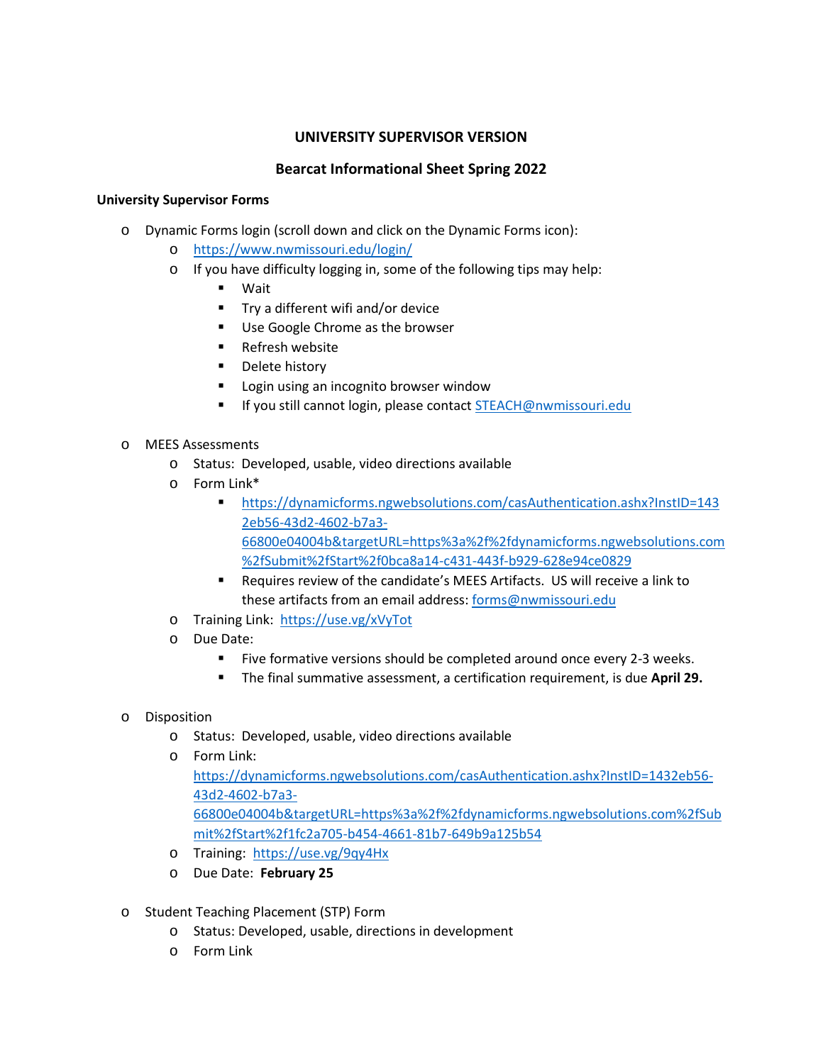# **UNIVERSITY SUPERVISOR VERSION**

## **Bearcat Informational Sheet Spring 2022**

#### **University Supervisor Forms**

- o Dynamic Forms login (scroll down and click on the Dynamic Forms icon):
	- o <https://www.nwmissouri.edu/login/>
	- o If you have difficulty logging in, some of the following tips may help:
		- Wait
		- $\blacksquare$  Try a different wifi and/or device
		- Use Google Chrome as the browser
		- **Refresh website**
		- **•** Delete history
		- **Login using an incognito browser window**
		- If you still cannot login, please contac[t STEACH@nwmissouri.edu](mailto:STEACH@nwmissouri.edu)

#### o MEES Assessments

- o Status: Developed, usable, video directions available
- o Form Link\*
	- [https://dynamicforms.ngwebsolutions.com/casAuthentication.ashx?InstID=143](https://dynamicforms.ngwebsolutions.com/casAuthentication.ashx?InstID=1432eb56-43d2-4602-b7a3-66800e04004b&targetURL=https%3a%2f%2fdynamicforms.ngwebsolutions.com%2fSubmit%2fStart%2f0bca8a14-c431-443f-b929-628e94ce0829) [2eb56-43d2-4602-b7a3-](https://dynamicforms.ngwebsolutions.com/casAuthentication.ashx?InstID=1432eb56-43d2-4602-b7a3-66800e04004b&targetURL=https%3a%2f%2fdynamicforms.ngwebsolutions.com%2fSubmit%2fStart%2f0bca8a14-c431-443f-b929-628e94ce0829) [66800e04004b&targetURL=https%3a%2f%2fdynamicforms.ngwebsolutions.com](https://dynamicforms.ngwebsolutions.com/casAuthentication.ashx?InstID=1432eb56-43d2-4602-b7a3-66800e04004b&targetURL=https%3a%2f%2fdynamicforms.ngwebsolutions.com%2fSubmit%2fStart%2f0bca8a14-c431-443f-b929-628e94ce0829) [%2fSubmit%2fStart%2f0bca8a14-c431-443f-b929-628e94ce0829](https://dynamicforms.ngwebsolutions.com/casAuthentication.ashx?InstID=1432eb56-43d2-4602-b7a3-66800e04004b&targetURL=https%3a%2f%2fdynamicforms.ngwebsolutions.com%2fSubmit%2fStart%2f0bca8a14-c431-443f-b929-628e94ce0829)
	- Requires review of the candidate's MEES Artifacts. US will receive a link to these artifacts from an email address: [forms@nwmissouri.edu](mailto:forms@nwmissouri.edu)
- o Training Link:<https://use.vg/xVyTot>
- o Due Date:
	- Five formative versions should be completed around once every 2-3 weeks.
	- The final summative assessment, a certification requirement, is due **April 29.**
- o Disposition
	- o Status: Developed, usable, video directions available
	- o Form Link:

[https://dynamicforms.ngwebsolutions.com/casAuthentication.ashx?InstID=1432eb56-](https://dynamicforms.ngwebsolutions.com/casAuthentication.ashx?InstID=1432eb56-43d2-4602-b7a3-66800e04004b&targetURL=https%3a%2f%2fdynamicforms.ngwebsolutions.com%2fSubmit%2fStart%2f1fc2a705-b454-4661-81b7-649b9a125b54) [43d2-4602-b7a3-](https://dynamicforms.ngwebsolutions.com/casAuthentication.ashx?InstID=1432eb56-43d2-4602-b7a3-66800e04004b&targetURL=https%3a%2f%2fdynamicforms.ngwebsolutions.com%2fSubmit%2fStart%2f1fc2a705-b454-4661-81b7-649b9a125b54)

[66800e04004b&targetURL=https%3a%2f%2fdynamicforms.ngwebsolutions.com%2fSub](https://dynamicforms.ngwebsolutions.com/casAuthentication.ashx?InstID=1432eb56-43d2-4602-b7a3-66800e04004b&targetURL=https%3a%2f%2fdynamicforms.ngwebsolutions.com%2fSubmit%2fStart%2f1fc2a705-b454-4661-81b7-649b9a125b54) [mit%2fStart%2f1fc2a705-b454-4661-81b7-649b9a125b54](https://dynamicforms.ngwebsolutions.com/casAuthentication.ashx?InstID=1432eb56-43d2-4602-b7a3-66800e04004b&targetURL=https%3a%2f%2fdynamicforms.ngwebsolutions.com%2fSubmit%2fStart%2f1fc2a705-b454-4661-81b7-649b9a125b54)

- o Training: <https://use.vg/9qy4Hx>
- o Due Date: **February 25**
- o Student Teaching Placement (STP) Form
	- o Status: Developed, usable, directions in development
	- o Form Link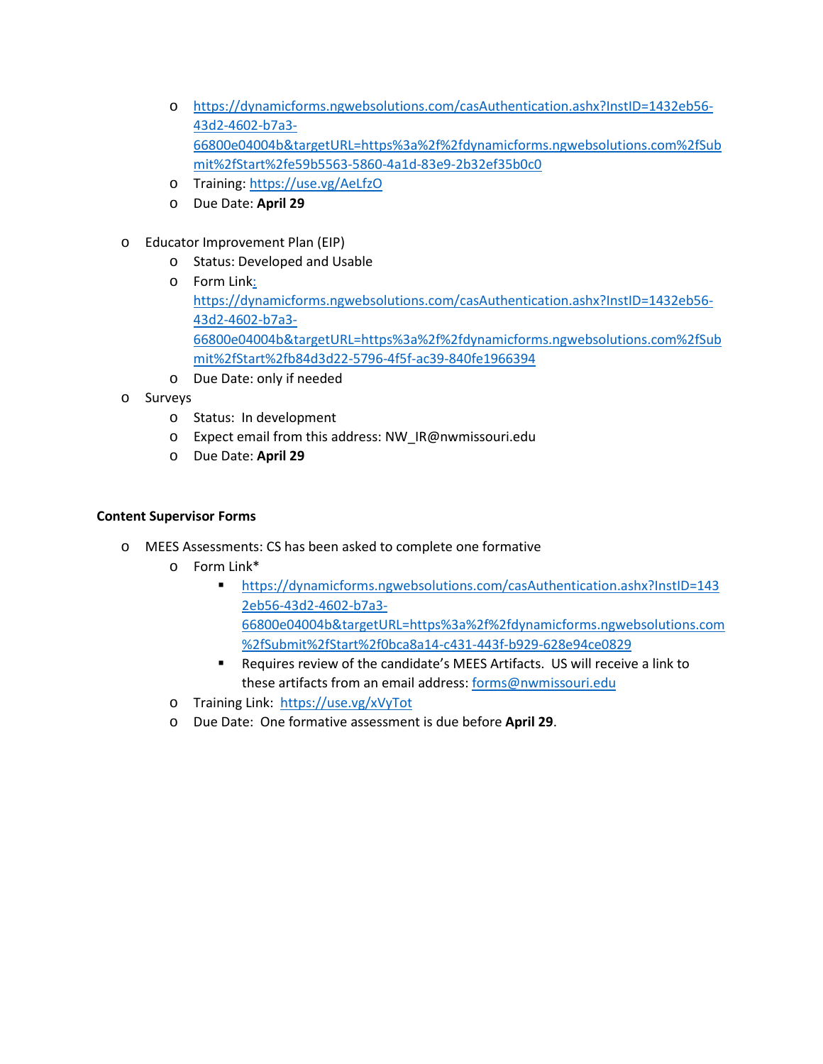- o [https://dynamicforms.ngwebsolutions.com/casAuthentication.ashx?InstID=1432eb56-](https://dynamicforms.ngwebsolutions.com/casAuthentication.ashx?InstID=1432eb56-43d2-4602-b7a3-66800e04004b&targetURL=https%3a%2f%2fdynamicforms.ngwebsolutions.com%2fSubmit%2fStart%2fe59b5563-5860-4a1d-83e9-2b32ef35b0c0) [43d2-4602-b7a3-](https://dynamicforms.ngwebsolutions.com/casAuthentication.ashx?InstID=1432eb56-43d2-4602-b7a3-66800e04004b&targetURL=https%3a%2f%2fdynamicforms.ngwebsolutions.com%2fSubmit%2fStart%2fe59b5563-5860-4a1d-83e9-2b32ef35b0c0) [66800e04004b&targetURL=https%3a%2f%2fdynamicforms.ngwebsolutions.com%2fSub](https://dynamicforms.ngwebsolutions.com/casAuthentication.ashx?InstID=1432eb56-43d2-4602-b7a3-66800e04004b&targetURL=https%3a%2f%2fdynamicforms.ngwebsolutions.com%2fSubmit%2fStart%2fe59b5563-5860-4a1d-83e9-2b32ef35b0c0) [mit%2fStart%2fe59b5563-5860-4a1d-83e9-2b32ef35b0c0](https://dynamicforms.ngwebsolutions.com/casAuthentication.ashx?InstID=1432eb56-43d2-4602-b7a3-66800e04004b&targetURL=https%3a%2f%2fdynamicforms.ngwebsolutions.com%2fSubmit%2fStart%2fe59b5563-5860-4a1d-83e9-2b32ef35b0c0)
- o Training[: https://use.vg/AeLfzO](https://use.vg/AeLfzO)
- o Due Date: **April 29**
- o Educator Improvement Plan (EIP)
	- o Status: Developed and Usable
	- o Form Link: [https://dynamicforms.ngwebsolutions.com/casAuthentication.ashx?InstID=1432eb56-](https://dynamicforms.ngwebsolutions.com/casAuthentication.ashx?InstID=1432eb56-43d2-4602-b7a3-66800e04004b&targetURL=https%3a%2f%2fdynamicforms.ngwebsolutions.com%2fSubmit%2fStart%2fb84d3d22-5796-4f5f-ac39-840fe1966394) [43d2-4602-b7a3-](https://dynamicforms.ngwebsolutions.com/casAuthentication.ashx?InstID=1432eb56-43d2-4602-b7a3-66800e04004b&targetURL=https%3a%2f%2fdynamicforms.ngwebsolutions.com%2fSubmit%2fStart%2fb84d3d22-5796-4f5f-ac39-840fe1966394) [66800e04004b&targetURL=https%3a%2f%2fdynamicforms.ngwebsolutions.com%2fSub](https://dynamicforms.ngwebsolutions.com/casAuthentication.ashx?InstID=1432eb56-43d2-4602-b7a3-66800e04004b&targetURL=https%3a%2f%2fdynamicforms.ngwebsolutions.com%2fSubmit%2fStart%2fb84d3d22-5796-4f5f-ac39-840fe1966394) [mit%2fStart%2fb84d3d22-5796-4f5f-ac39-840fe1966394](https://dynamicforms.ngwebsolutions.com/casAuthentication.ashx?InstID=1432eb56-43d2-4602-b7a3-66800e04004b&targetURL=https%3a%2f%2fdynamicforms.ngwebsolutions.com%2fSubmit%2fStart%2fb84d3d22-5796-4f5f-ac39-840fe1966394)
	- o Due Date: only if needed
- o Surveys
	- o Status: In development
	- o Expect email from this address: NW\_IR@nwmissouri.edu
	- o Due Date: **April 29**

### **Content Supervisor Forms**

- o MEES Assessments: CS has been asked to complete one formative
	- o Form Link\*
		- [https://dynamicforms.ngwebsolutions.com/casAuthentication.ashx?InstID=143](https://dynamicforms.ngwebsolutions.com/casAuthentication.ashx?InstID=1432eb56-43d2-4602-b7a3-66800e04004b&targetURL=https%3a%2f%2fdynamicforms.ngwebsolutions.com%2fSubmit%2fStart%2f0bca8a14-c431-443f-b929-628e94ce0829) [2eb56-43d2-4602-b7a3-](https://dynamicforms.ngwebsolutions.com/casAuthentication.ashx?InstID=1432eb56-43d2-4602-b7a3-66800e04004b&targetURL=https%3a%2f%2fdynamicforms.ngwebsolutions.com%2fSubmit%2fStart%2f0bca8a14-c431-443f-b929-628e94ce0829) [66800e04004b&targetURL=https%3a%2f%2fdynamicforms.ngwebsolutions.com](https://dynamicforms.ngwebsolutions.com/casAuthentication.ashx?InstID=1432eb56-43d2-4602-b7a3-66800e04004b&targetURL=https%3a%2f%2fdynamicforms.ngwebsolutions.com%2fSubmit%2fStart%2f0bca8a14-c431-443f-b929-628e94ce0829) [%2fSubmit%2fStart%2f0bca8a14-c431-443f-b929-628e94ce0829](https://dynamicforms.ngwebsolutions.com/casAuthentication.ashx?InstID=1432eb56-43d2-4602-b7a3-66800e04004b&targetURL=https%3a%2f%2fdynamicforms.ngwebsolutions.com%2fSubmit%2fStart%2f0bca8a14-c431-443f-b929-628e94ce0829)
		- Requires review of the candidate's MEES Artifacts. US will receive a link to these artifacts from an email address: [forms@nwmissouri.edu](mailto:forms@nwmissouri.edu)
	- o Training Link:<https://use.vg/xVyTot>
	- o Due Date: One formative assessment is due before **April 29**.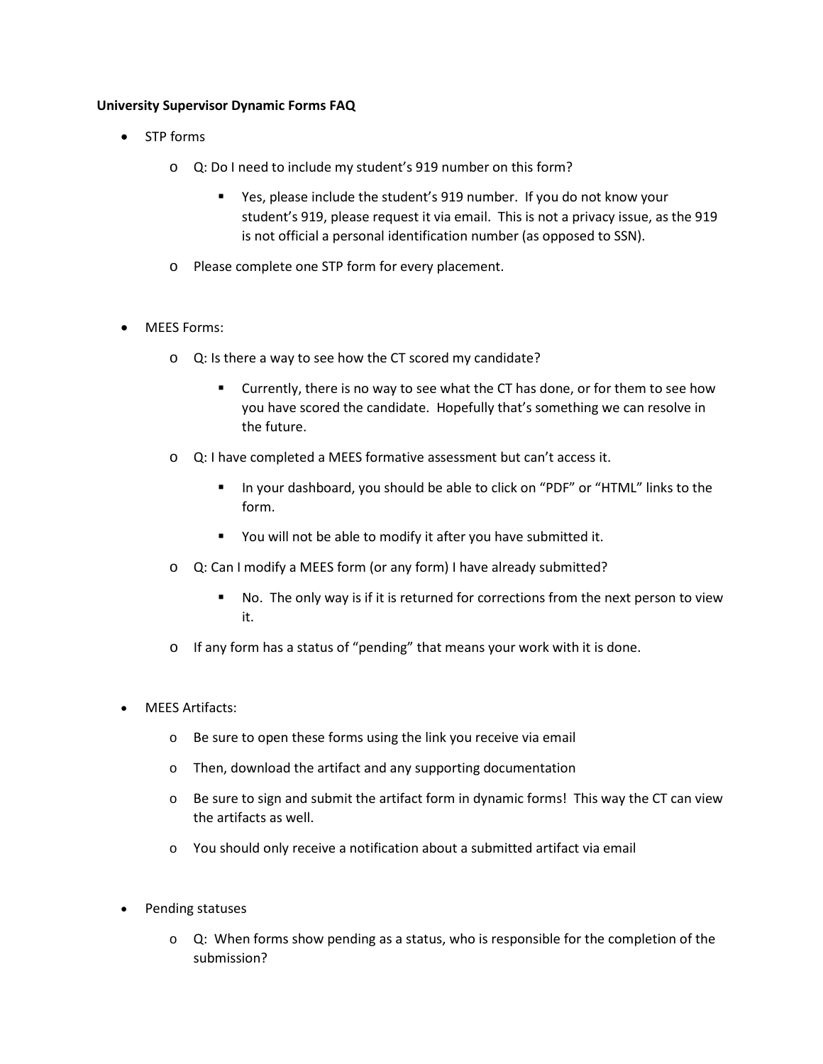### **University Supervisor Dynamic Forms FAQ**

- STP forms
	- o Q: Do I need to include my student's 919 number on this form?
		- Yes, please include the student's 919 number. If you do not know your student's 919, please request it via email. This is not a privacy issue, as the 919 is not official a personal identification number (as opposed to SSN).
	- o Please complete one STP form for every placement.
- MEES Forms:
	- o Q: Is there a way to see how the CT scored my candidate?
		- **EXT** Currently, there is no way to see what the CT has done, or for them to see how you have scored the candidate. Hopefully that's something we can resolve in the future.
	- o Q: I have completed a MEES formative assessment but can't access it.
		- In your dashboard, you should be able to click on "PDF" or "HTML" links to the form.
		- You will not be able to modify it after you have submitted it.
	- o Q: Can I modify a MEES form (or any form) I have already submitted?
		- No. The only way is if it is returned for corrections from the next person to view it.
	- o If any form has a status of "pending" that means your work with it is done.
- MEES Artifacts:
	- o Be sure to open these forms using the link you receive via email
	- o Then, download the artifact and any supporting documentation
	- $\circ$  Be sure to sign and submit the artifact form in dynamic forms! This way the CT can view the artifacts as well.
	- o You should only receive a notification about a submitted artifact via email
- Pending statuses
	- $\circ$  Q: When forms show pending as a status, who is responsible for the completion of the submission?